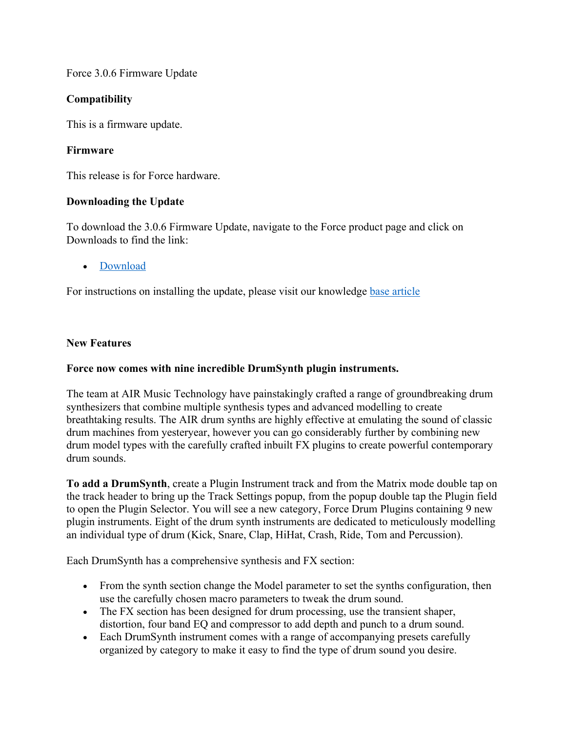### Force 3.0.6 Firmware Update

## **Compatibility**

This is a firmware update.

## **Firmware**

This release is for Force hardware.

## **Downloading the Update**

To download the 3.0.6 Firmware Update, navigate to the Force product page and click on Downloads to find the link:

### • Download

For instructions on installing the update, please visit our knowledge base article

### **New Features**

### **Force now comes with nine incredible DrumSynth plugin instruments.**

The team at AIR Music Technology have painstakingly crafted a range of groundbreaking drum synthesizers that combine multiple synthesis types and advanced modelling to create breathtaking results. The AIR drum synths are highly effective at emulating the sound of classic drum machines from yesteryear, however you can go considerably further by combining new drum model types with the carefully crafted inbuilt FX plugins to create powerful contemporary drum sounds.

**To add a DrumSynth**, create a Plugin Instrument track and from the Matrix mode double tap on the track header to bring up the Track Settings popup, from the popup double tap the Plugin field to open the Plugin Selector. You will see a new category, Force Drum Plugins containing 9 new plugin instruments. Eight of the drum synth instruments are dedicated to meticulously modelling an individual type of drum (Kick, Snare, Clap, HiHat, Crash, Ride, Tom and Percussion).

Each DrumSynth has a comprehensive synthesis and FX section:

- From the synth section change the Model parameter to set the synths configuration, then use the carefully chosen macro parameters to tweak the drum sound.
- The FX section has been designed for drum processing, use the transient shaper, distortion, four band EQ and compressor to add depth and punch to a drum sound.
- Each DrumSynth instrument comes with a range of accompanying presets carefully organized by category to make it easy to find the type of drum sound you desire.